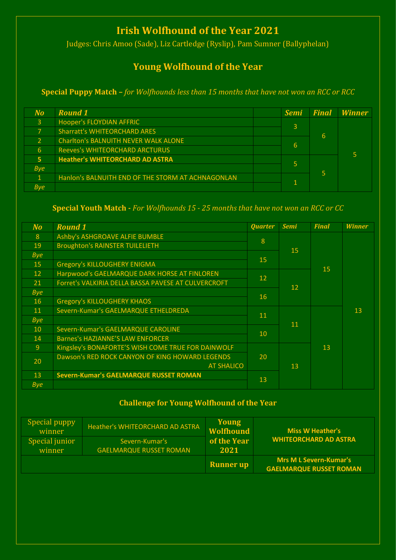# **Irish Wolfhound of the Year 2021**

Judges: Chris Amoo (Sade), Liz Cartledge (Ryslip), Pam Sumner (Ballyphelan)

## **Young Wolfhound of the Year**

**Special Puppy Match –** *for Wolfhounds less than 15 months that have not won an RCC or RCC*

| No.            | <b>Round 1</b>                                    |  | <b>Semi</b>    | <b>Final</b> | <b>Winner</b> |
|----------------|---------------------------------------------------|--|----------------|--------------|---------------|
| $\mathbf{3}$   | Hooper's FLOYDIAN AFFRIC                          |  | $\overline{3}$ | 6            |               |
| $\overline{7}$ | <b>Sharratt's WHITEORCHARD ARES</b>               |  |                |              |               |
| $\overline{2}$ | <b>Charlton's BALNUITH NEVER WALK ALONE</b>       |  | 6              |              |               |
| 6              | <b>Reeves's WHITEORCHARD ARCTURUS</b>             |  |                |              |               |
| 5 <sub>1</sub> | <b>Heather's WHITEORCHARD AD ASTRA</b>            |  |                | 5            |               |
| <b>Bye</b>     |                                                   |  | 5              |              |               |
| $\mathbf{1}$   | Hanlon's BALNUITH END OF THE STORM AT ACHNAGONLAN |  |                |              |               |
| <b>Bye</b>     |                                                   |  |                |              |               |

### **Special Youth Match -** *For Wolfhounds 15 - 25 months that have not won an RCC or CC*

| N <sub>O</sub> | <b>Round 1</b>                                      | <b>Quarter</b>    | <b>Semi</b> | <b>Final</b> | <b>Winner</b> |
|----------------|-----------------------------------------------------|-------------------|-------------|--------------|---------------|
| 8              | Ashby's ASHGROAVE ALFIE BUMBLE                      | 8                 | 15          | 15           | 13            |
| 19             | <b>Broughton's RAINSTER TUILELIETH</b>              |                   |             |              |               |
| <b>Bye</b>     |                                                     | <b>15</b>         |             |              |               |
| 15             | <b>Gregory's KILLOUGHERY ENIGMA</b>                 |                   |             |              |               |
| 12             | Harpwood's GAELMARQUE DARK HORSE AT FINLOREN        | $12 \overline{ }$ | 12          |              |               |
| 21             | Forret's VALKIRIA DELLA BASSA PAVESE AT CULVERCROFT |                   |             |              |               |
| <b>Bye</b>     |                                                     | <b>16</b>         |             |              |               |
| 16             | <b>Gregory's KILLOUGHERY KHAOS</b>                  |                   |             |              |               |
| 11             | Severn-Kumar's GAELMARQUE ETHELDREDA                | <b>11</b>         | 11          | 13           |               |
| <b>Bye</b>     |                                                     |                   |             |              |               |
| 10             | Severn-Kumar's GAELMARQUE CAROLINE                  | 10                |             |              |               |
| 14             | <b>Barnes's HAZIANNE'S LAW ENFORCER</b>             |                   |             |              |               |
| 9              | Kingsley's BONAFORTE'S WISH COME TRUE FOR DAINWOLF  |                   |             |              |               |
| 20             | Dawson's RED ROCK CANYON OF KING HOWARD LEGENDS     | 20                |             |              |               |
|                | <b>AT SHALICO</b>                                   |                   | 13          |              |               |
| 13             | <b>Severn-Kumar's GAELMARQUE RUSSET ROMAN</b>       | 13                |             |              |               |
| <b>Bye</b>     |                                                     |                   |             |              |               |

### **Challenge for Young Wolfhound of the Year**

| Special puppy<br>winner  | <b>Heather's WHITEORCHARD AD ASTRA</b>           | Young<br><b>Wolfhound</b> | <b>Miss W Heather's</b>                                         |
|--------------------------|--------------------------------------------------|---------------------------|-----------------------------------------------------------------|
| Special junior<br>winner | Severn-Kumar's<br><b>GAELMARQUE RUSSET ROMAN</b> | of the Year<br>2021       | <b>WHITEORCHARD AD ASTRA</b>                                    |
|                          |                                                  | <b>Runner</b> up          | <b>Mrs M L Severn-Kumar's</b><br><b>GAELMARQUE RUSSET ROMAN</b> |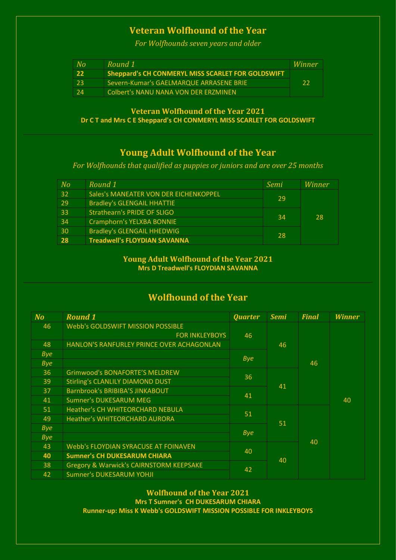## **Veteran Wolfhound of the Year**

*For Wolfhounds seven years and older*

| No  | Round 1                                           | Winner |
|-----|---------------------------------------------------|--------|
| -22 | Sheppard's CH CONMERYL MISS SCARLET FOR GOLDSWIFT |        |
| 23  | Severn-Kumar's GAELMARQUE ARRASENE BRIE           | -22    |
| 24  | <b>Colbert's NANU NANA VON DER ERZMINEN</b>       |        |

**Veteran Wolfhound of the Year 2021 Dr C T and Mrs C E Sheppard's CH CONMERYL MISS SCARLET FOR GOLDSWIFT**

## **Young Adult Wolfhound of the Year**

*For Wolfhounds that qualified as puppies or juniors and are over 25 months*

| N <sub>O</sub> | Round 1                               | Semi | Winner |
|----------------|---------------------------------------|------|--------|
| 32             | Sales's MANEATER VON DER EICHENKOPPEL | 29   |        |
| 29             | <b>Bradley's GLENGAIL HHATTIE</b>     |      | 28     |
| 33             | <b>Strathearn's PRIDE OF SLIGO</b>    | 34   |        |
| 34             | <b>Cramphorn's YELXBA BONNIE</b>      |      |        |
| 30             | <b>Bradley's GLENGAIL HHEDWIG</b>     | 28   |        |
| 28             | <b>Treadwell's FLOYDIAN SAVANNA</b>   |      |        |

#### **Young Adult Wolfhound of the Year 2021 Mrs D Treadwell's FLOYDIAN SAVANNA**

## **Wolfhound of the Year**

| $No$       | <b>Round 1</b>                                     | <b>Quarter</b> | <b>Semi</b> | <b>Final</b> | <b>Winner</b> |
|------------|----------------------------------------------------|----------------|-------------|--------------|---------------|
| 46         | <b>Webb's GOLDSWIFT MISSION POSSIBLE</b>           |                | 46          | 46           | 40            |
|            | <b>FOR INKLEYBOYS</b>                              | 46             |             |              |               |
| 48         | HANLON'S RANFURLEY PRINCE OVER ACHAGONLAN          |                |             |              |               |
| <b>Bye</b> |                                                    | <b>Bye</b>     |             |              |               |
| <b>Bye</b> |                                                    |                |             |              |               |
| 36         | <b>Grimwood's BONAFORTE'S MELDREW</b>              | 36             | 41          |              |               |
| 39         | <b>Stirling's CLANLILY DIAMOND DUST</b>            |                |             |              |               |
| 37         | Barnbrook's BRIBIBA'S JINKABOUT                    | 41             |             |              |               |
| 41         | <b>Sumner's DUKESARUM MEG</b>                      |                |             |              |               |
| 51         | Heather's CH WHITEORCHARD NEBULA                   | 51             |             | 40           |               |
| 49         | <b>Heather's WHITEORCHARD AURORA</b>               |                | 51          |              |               |
| <b>Bye</b> |                                                    |                |             |              |               |
| <b>Bye</b> |                                                    | <b>Bye</b>     |             |              |               |
| 43         | <b>Webb's FLOYDIAN SYRACUSE AT FOINAVEN</b>        | 40             | 40          |              |               |
| 40         | <b>Sumner's CH DUKESARUM CHIARA</b>                |                |             |              |               |
| 38         | <b>Gregory &amp; Warwick's CAIRNSTORM KEEPSAKE</b> | 42             |             |              |               |
| 42         | <b>Sumner's DUKESARUM YOHJI</b>                    |                |             |              |               |

**Wolfhound of the Year 2021 Mrs T Sumner's CH DUKESARUM CHIARA Runner-up: Miss K Webb's GOLDSWIFT MISSION POSSIBLE FOR INKLEYBOYS**